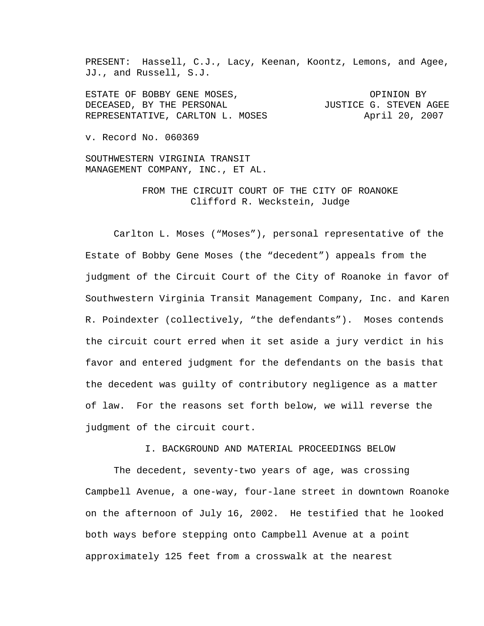PRESENT: Hassell, C.J., Lacy, Keenan, Koontz, Lemons, and Agee, JJ., and Russell, S.J.

ESTATE OF BOBBY GENE MOSES, **EXECUTE:** OPINION BY DECEASED, BY THE PERSONAL **Easy of STEVEN AGET** REPRESENTATIVE, CARLTON L. MOSES April 20, 2007

v. Record No. 060369

SOUTHWESTERN VIRGINIA TRANSIT MANAGEMENT COMPANY, INC., ET AL.

> FROM THE CIRCUIT COURT OF THE CITY OF ROANOKE Clifford R. Weckstein, Judge

 Carlton L. Moses ("Moses"), personal representative of the Estate of Bobby Gene Moses (the "decedent") appeals from the judgment of the Circuit Court of the City of Roanoke in favor of Southwestern Virginia Transit Management Company, Inc. and Karen R. Poindexter (collectively, "the defendants"). Moses contends the circuit court erred when it set aside a jury verdict in his favor and entered judgment for the defendants on the basis that the decedent was guilty of contributory negligence as a matter of law. For the reasons set forth below, we will reverse the judgment of the circuit court.

I. BACKGROUND AND MATERIAL PROCEEDINGS BELOW

The decedent, seventy-two years of age, was crossing Campbell Avenue, a one-way, four-lane street in downtown Roanoke on the afternoon of July 16, 2002. He testified that he looked both ways before stepping onto Campbell Avenue at a point approximately 125 feet from a crosswalk at the nearest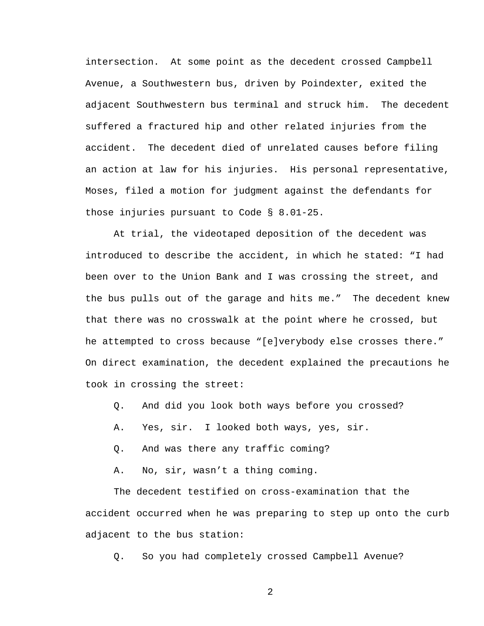intersection. At some point as the decedent crossed Campbell Avenue, a Southwestern bus, driven by Poindexter, exited the adjacent Southwestern bus terminal and struck him. The decedent suffered a fractured hip and other related injuries from the accident. The decedent died of unrelated causes before filing an action at law for his injuries. His personal representative, Moses, filed a motion for judgment against the defendants for those injuries pursuant to Code § 8.01-25.

At trial, the videotaped deposition of the decedent was introduced to describe the accident, in which he stated: "I had been over to the Union Bank and I was crossing the street, and the bus pulls out of the garage and hits me." The decedent knew that there was no crosswalk at the point where he crossed, but he attempted to cross because "[e]verybody else crosses there." On direct examination, the decedent explained the precautions he took in crossing the street:

- Q. And did you look both ways before you crossed?
- A. Yes, sir. I looked both ways, yes, sir.
- Q. And was there any traffic coming?
- A. No, sir, wasn't a thing coming.

The decedent testified on cross-examination that the accident occurred when he was preparing to step up onto the curb adjacent to the bus station:

Q. So you had completely crossed Campbell Avenue?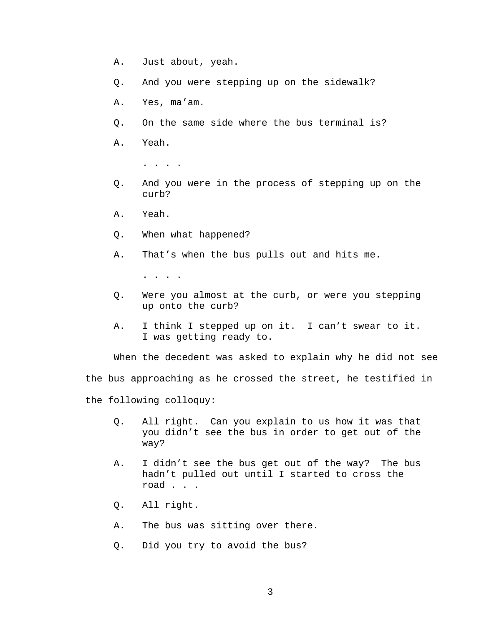- A. Just about, yeah.
- Q. And you were stepping up on the sidewalk?
- A. Yes, ma'am.
- Q. On the same side where the bus terminal is?
- A. Yeah.
	- . . . .
- Q. And you were in the process of stepping up on the curb?
- A. Yeah.
- Q. When what happened?
- A. That's when the bus pulls out and hits me.

. . . .

- Q. Were you almost at the curb, or were you stepping up onto the curb?
- A. I think I stepped up on it. I can't swear to it. I was getting ready to.

When the decedent was asked to explain why he did not see

the bus approaching as he crossed the street, he testified in

the following colloquy:

- Q. All right. Can you explain to us how it was that you didn't see the bus in order to get out of the way?
- A. I didn't see the bus get out of the way? The bus hadn't pulled out until I started to cross the road . . .
- Q. All right.
- A. The bus was sitting over there.
- Q. Did you try to avoid the bus?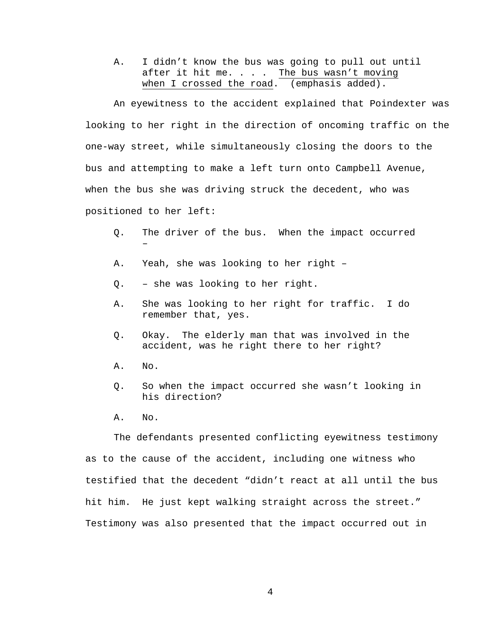A. I didn't know the bus was going to pull out until after it hit me. . . . The bus wasn't moving when I crossed the road. (emphasis added).

An eyewitness to the accident explained that Poindexter was looking to her right in the direction of oncoming traffic on the one-way street, while simultaneously closing the doors to the bus and attempting to make a left turn onto Campbell Avenue, when the bus she was driving struck the decedent, who was positioned to her left:

- Q. The driver of the bus. When the impact occurred –
- A. Yeah, she was looking to her right –
- Q. she was looking to her right.
- A. She was looking to her right for traffic. I do remember that, yes.
- Q. Okay. The elderly man that was involved in the accident, was he right there to her right?
- A. No.
- Q. So when the impact occurred she wasn't looking in his direction?
- A. No.

The defendants presented conflicting eyewitness testimony as to the cause of the accident, including one witness who testified that the decedent "didn't react at all until the bus hit him. He just kept walking straight across the street." Testimony was also presented that the impact occurred out in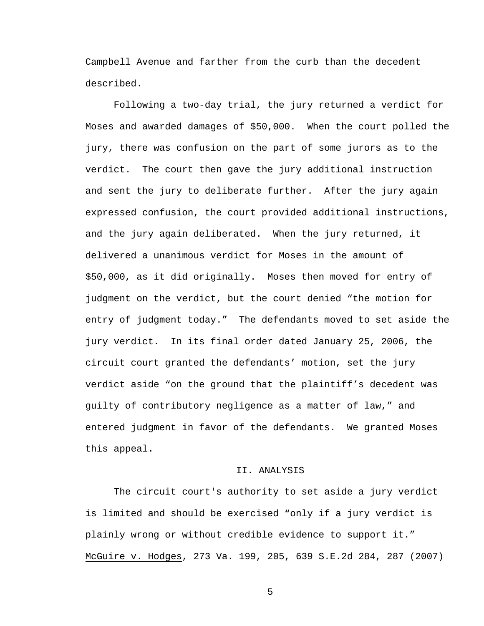Campbell Avenue and farther from the curb than the decedent described.

Following a two-day trial, the jury returned a verdict for Moses and awarded damages of \$50,000. When the court polled the jury, there was confusion on the part of some jurors as to the verdict. The court then gave the jury additional instruction and sent the jury to deliberate further. After the jury again expressed confusion, the court provided additional instructions, and the jury again deliberated. When the jury returned, it delivered a unanimous verdict for Moses in the amount of \$50,000, as it did originally. Moses then moved for entry of judgment on the verdict, but the court denied "the motion for entry of judgment today." The defendants moved to set aside the jury verdict. In its final order dated January 25, 2006, the circuit court granted the defendants' motion, set the jury verdict aside "on the ground that the plaintiff's decedent was guilty of contributory negligence as a matter of law," and entered judgment in favor of the defendants. We granted Moses this appeal.

## II. ANALYSIS

 The circuit court's authority to set aside a jury verdict is limited and should be exercised "only if a jury verdict is plainly wrong or without credible evidence to support it." McGuire v. Hodges, 273 Va. 199, 205, 639 S.E.2d 284, 287 (2007)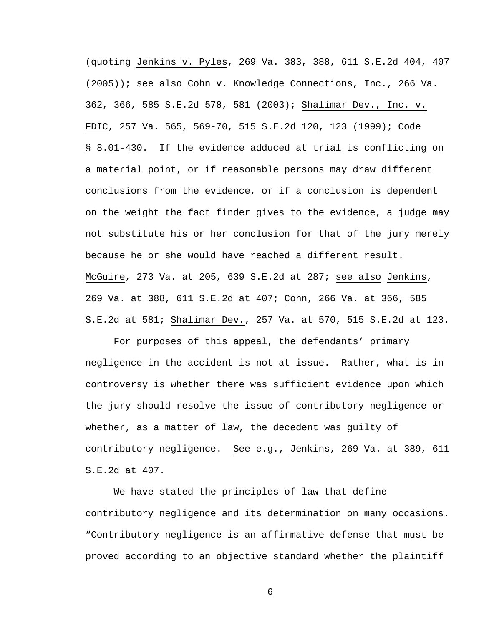(quoting Jenkins v. Pyles, 269 Va. 383, 388, 611 S.E.2d 404, 407 (2005)); see also Cohn v. Knowledge Connections, Inc., 266 Va. 362, 366, 585 S.E.2d 578, 581 (2003); Shalimar Dev., Inc. v. FDIC, 257 Va. 565, 569-70, 515 S.E.2d 120, 123 (1999); Code § 8.01-430. If the evidence adduced at trial is conflicting on a material point, or if reasonable persons may draw different conclusions from the evidence, or if a conclusion is dependent on the weight the fact finder gives to the evidence, a judge may not substitute his or her conclusion for that of the jury merely because he or she would have reached a different result. McGuire, 273 Va. at 205, 639 S.E.2d at 287; see also Jenkins, 269 Va. at 388, 611 S.E.2d at 407; Cohn, 266 Va. at 366, 585 S.E.2d at 581; Shalimar Dev., 257 Va. at 570, 515 S.E.2d at 123.

 For purposes of this appeal, the defendants' primary negligence in the accident is not at issue. Rather, what is in controversy is whether there was sufficient evidence upon which the jury should resolve the issue of contributory negligence or whether, as a matter of law, the decedent was guilty of contributory negligence. See e.g., Jenkins, 269 Va. at 389, 611 S.E.2d at 407.

 We have stated the principles of law that define contributory negligence and its determination on many occasions. "Contributory negligence is an affirmative defense that must be proved according to an objective standard whether the plaintiff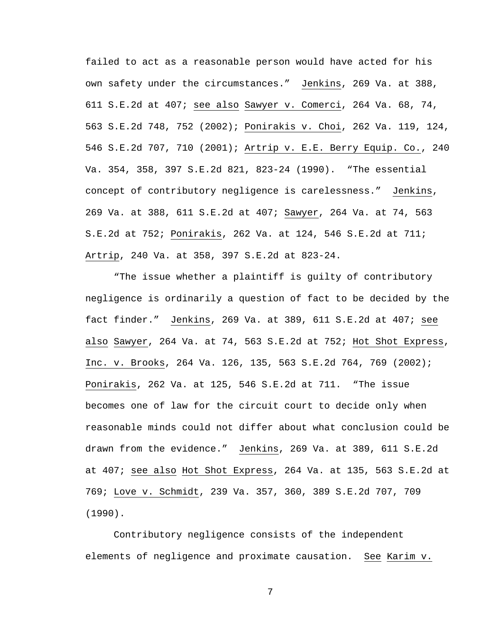failed to act as a reasonable person would have acted for his own safety under the circumstances." Jenkins, 269 Va. at 388, 611 S.E.2d at 407; see also Sawyer v. Comerci, 264 Va. 68, 74, 563 S.E.2d 748, 752 (2002); Ponirakis v. Choi, 262 Va. 119, 124, 546 S.E.2d 707, 710 (2001); Artrip v. E.E. Berry Equip. Co., 240 Va. 354, 358, 397 S.E.2d 821, 823-24 (1990). "The essential concept of contributory negligence is carelessness." Jenkins, 269 Va. at 388, 611 S.E.2d at 407; Sawyer, 264 Va. at 74, 563 S.E.2d at 752; Ponirakis, 262 Va. at 124, 546 S.E.2d at 711; Artrip, 240 Va. at 358, 397 S.E.2d at 823-24.

 "The issue whether a plaintiff is guilty of contributory negligence is ordinarily a question of fact to be decided by the fact finder." Jenkins, 269 Va. at 389, 611 S.E.2d at 407; see also Sawyer, 264 Va. at 74, 563 S.E.2d at 752; Hot Shot Express, Inc. v. Brooks, 264 Va. 126, 135, 563 S.E.2d 764, 769 (2002); Ponirakis, 262 Va. at 125, 546 S.E.2d at 711. "The issue becomes one of law for the circuit court to decide only when reasonable minds could not differ about what conclusion could be drawn from the evidence." Jenkins, 269 Va. at 389, 611 S.E.2d at 407; see also Hot Shot Express, 264 Va. at 135, 563 S.E.2d at 769; Love v. Schmidt, 239 Va. 357, 360, 389 S.E.2d 707, 709 (1990).

 Contributory negligence consists of the independent elements of negligence and proximate causation. See Karim v.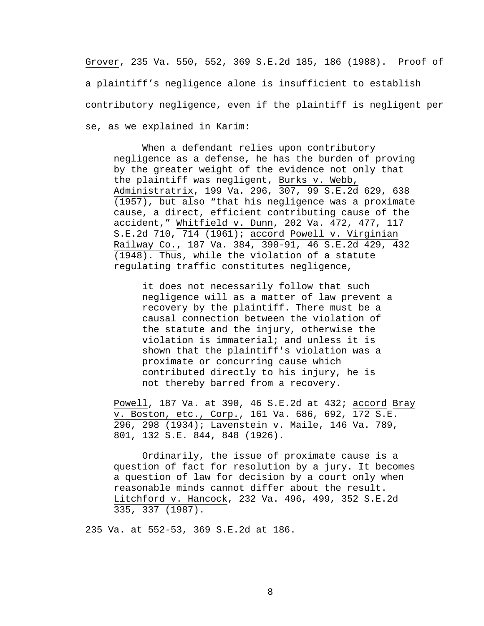Grover, 235 Va. 550, 552, 369 S.E.2d 185, 186 (1988). Proof of a plaintiff's negligence alone is insufficient to establish contributory negligence, even if the plaintiff is negligent per se, as we explained in Karim:

When a defendant relies upon contributory negligence as a defense, he has the burden of proving by the greater weight of the evidence not only that the plaintiff was negligent, Burks v. Webb, Administratrix, 199 Va. 296, 307, 99 S.E.2d 629, 638 (1957), but also "that his negligence was a proximate cause, a direct, efficient contributing cause of the accident," Whitfield v. Dunn, 202 Va. 472, 477, 117 S.E.2d 710, 714 (1961); accord Powell v. Virginian Railway Co., 187 Va. 384, 390-91, 46 S.E.2d 429, 432 (1948). Thus, while the violation of a statute regulating traffic constitutes negligence,

it does not necessarily follow that such negligence will as a matter of law prevent a recovery by the plaintiff. There must be a causal connection between the violation of the statute and the injury, otherwise the violation is immaterial; and unless it is shown that the plaintiff's violation was a proximate or concurring cause which contributed directly to his injury, he is not thereby barred from a recovery.

Powell, 187 Va. at 390, 46 S.E.2d at 432; accord Bray v. Boston, etc., Corp., 161 Va. 686, 692, 172 S.E. 296, 298 (1934); Lavenstein v. Maile, 146 Va. 789, 801, 132 S.E. 844, 848 (1926).

 Ordinarily, the issue of proximate cause is a question of fact for resolution by a jury. It becomes a question of law for decision by a court only when reasonable minds cannot differ about the result. Litchford v. Hancock, 232 Va. 496, 499, 352 S.E.2d 335, 337 (1987).

235 Va. at 552-53, 369 S.E.2d at 186.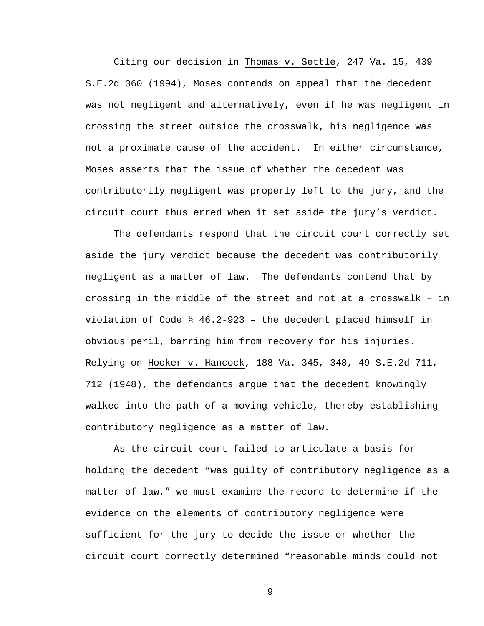Citing our decision in Thomas v. Settle, 247 Va. 15, 439 S.E.2d 360 (1994), Moses contends on appeal that the decedent was not negligent and alternatively, even if he was negligent in crossing the street outside the crosswalk, his negligence was not a proximate cause of the accident. In either circumstance, Moses asserts that the issue of whether the decedent was contributorily negligent was properly left to the jury, and the circuit court thus erred when it set aside the jury's verdict.

 The defendants respond that the circuit court correctly set aside the jury verdict because the decedent was contributorily negligent as a matter of law. The defendants contend that by crossing in the middle of the street and not at a crosswalk – in violation of Code § 46.2-923 – the decedent placed himself in obvious peril, barring him from recovery for his injuries. Relying on Hooker v. Hancock, 188 Va. 345, 348, 49 S.E.2d 711, 712 (1948), the defendants argue that the decedent knowingly walked into the path of a moving vehicle, thereby establishing contributory negligence as a matter of law.

 As the circuit court failed to articulate a basis for holding the decedent "was guilty of contributory negligence as a matter of law," we must examine the record to determine if the evidence on the elements of contributory negligence were sufficient for the jury to decide the issue or whether the circuit court correctly determined "reasonable minds could not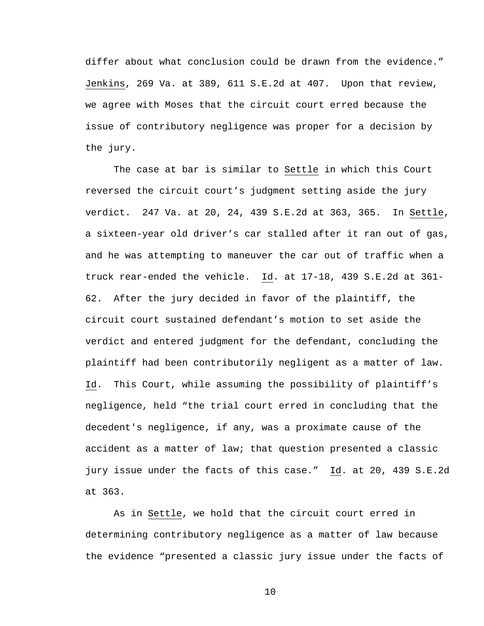differ about what conclusion could be drawn from the evidence." Jenkins, 269 Va. at 389, 611 S.E.2d at 407. Upon that review, we agree with Moses that the circuit court erred because the issue of contributory negligence was proper for a decision by the jury.

 The case at bar is similar to Settle in which this Court reversed the circuit court's judgment setting aside the jury verdict. 247 Va. at 20, 24, 439 S.E.2d at 363, 365. In Settle, a sixteen-year old driver's car stalled after it ran out of gas, and he was attempting to maneuver the car out of traffic when a truck rear-ended the vehicle. Id. at 17-18, 439 S.E.2d at 361- 62. After the jury decided in favor of the plaintiff, the circuit court sustained defendant's motion to set aside the verdict and entered judgment for the defendant, concluding the plaintiff had been contributorily negligent as a matter of law. Id. This Court, while assuming the possibility of plaintiff's negligence, held "the trial court erred in concluding that the decedent's negligence, if any, was a proximate cause of the accident as a matter of law; that question presented a classic jury issue under the facts of this case." Id. at 20, 439 S.E.2d at 363.

 As in Settle, we hold that the circuit court erred in determining contributory negligence as a matter of law because the evidence "presented a classic jury issue under the facts of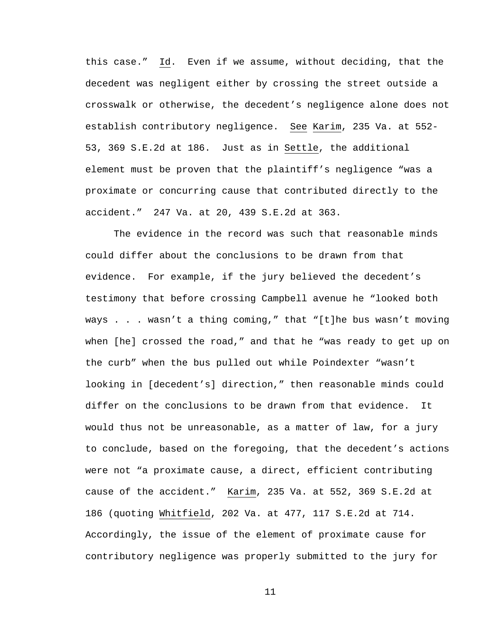this case." Id. Even if we assume, without deciding, that the decedent was negligent either by crossing the street outside a crosswalk or otherwise, the decedent's negligence alone does not establish contributory negligence. See Karim, 235 Va. at 552- 53, 369 S.E.2d at 186. Just as in Settle, the additional element must be proven that the plaintiff's negligence "was a proximate or concurring cause that contributed directly to the accident." 247 Va. at 20, 439 S.E.2d at 363.

 The evidence in the record was such that reasonable minds could differ about the conclusions to be drawn from that evidence. For example, if the jury believed the decedent's testimony that before crossing Campbell avenue he "looked both ways . . . wasn't a thing coming," that "[t]he bus wasn't moving when [he] crossed the road," and that he "was ready to get up on the curb" when the bus pulled out while Poindexter "wasn't looking in [decedent's] direction," then reasonable minds could differ on the conclusions to be drawn from that evidence. It would thus not be unreasonable, as a matter of law, for a jury to conclude, based on the foregoing, that the decedent's actions were not "a proximate cause, a direct, efficient contributing cause of the accident." Karim, 235 Va. at 552, 369 S.E.2d at 186 (quoting Whitfield, 202 Va. at 477, 117 S.E.2d at 714. Accordingly, the issue of the element of proximate cause for contributory negligence was properly submitted to the jury for